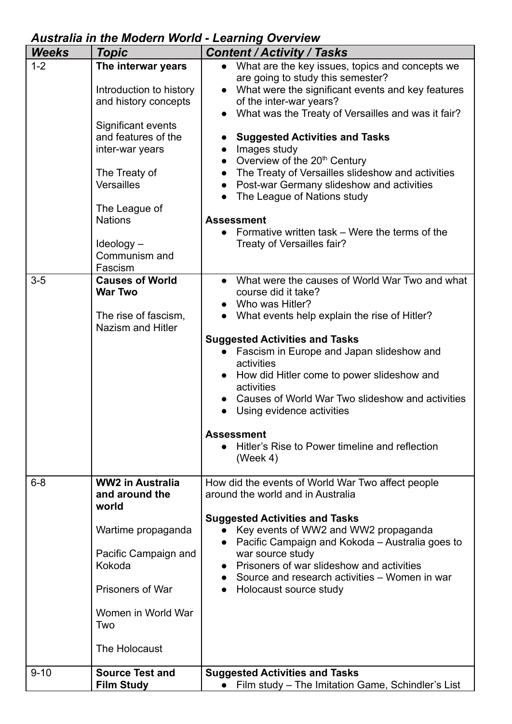## *Australia in the Modern World - Learning Overview*

| <b>Weeks</b> | <b>Topic</b>                                                                                                                                                                                                                                            | <b>Content / Activity / Tasks</b>                                                                                                                                                                                                                                                                                                                                                                                                                                                                                                                                                                                         |
|--------------|---------------------------------------------------------------------------------------------------------------------------------------------------------------------------------------------------------------------------------------------------------|---------------------------------------------------------------------------------------------------------------------------------------------------------------------------------------------------------------------------------------------------------------------------------------------------------------------------------------------------------------------------------------------------------------------------------------------------------------------------------------------------------------------------------------------------------------------------------------------------------------------------|
| $1 - 2$      | The interwar years<br>Introduction to history<br>and history concepts<br>Significant events<br>and features of the<br>inter-war years<br>The Treaty of<br><b>Versailles</b><br>The League of<br><b>Nations</b><br>Ideology-<br>Communism and<br>Fascism | What are the key issues, topics and concepts we<br>$\bullet$<br>are going to study this semester?<br>What were the significant events and key features<br>$\bullet$<br>of the inter-war years?<br>What was the Treaty of Versailles and was it fair?<br><b>Suggested Activities and Tasks</b><br>Images study<br>Overview of the 20 <sup>th</sup> Century<br>$\bullet$<br>The Treaty of Versailles slideshow and activities<br>Post-war Germany slideshow and activities<br>The League of Nations study<br><b>Assessment</b><br>Formative written task – Were the terms of the<br>$\bullet$<br>Treaty of Versailles fair? |
| $3-5$        | <b>Causes of World</b><br><b>War Two</b><br>The rise of fascism,<br><b>Nazism and Hitler</b>                                                                                                                                                            | What were the causes of World War Two and what<br>course did it take?<br>Who was Hitler?<br>What events help explain the rise of Hitler?<br><b>Suggested Activities and Tasks</b><br>Fascism in Europe and Japan slideshow and<br>activities<br>How did Hitler come to power slideshow and<br>activities<br>Causes of World War Two slideshow and activities<br>Using evidence activities<br><b>Assessment</b><br>Hitler's Rise to Power timeline and reflection<br>(Week 4)                                                                                                                                              |
| $6 - 8$      | <b>WW2 in Australia</b><br>and around the<br>world<br>Wartime propaganda<br>Pacific Campaign and<br>Kokoda<br><b>Prisoners of War</b><br>Women in World War<br>Two<br>The Holocaust                                                                     | How did the events of World War Two affect people<br>around the world and in Australia<br><b>Suggested Activities and Tasks</b><br>Key events of WW2 and WW2 propaganda<br>Pacific Campaign and Kokoda - Australia goes to<br>war source study<br>Prisoners of war slideshow and activities<br>$\bullet$<br>Source and research activities - Women in war<br>$\bullet$<br>Holocaust source study<br>$\bullet$                                                                                                                                                                                                             |
| $9 - 10$     | <b>Source Test and</b><br><b>Film Study</b>                                                                                                                                                                                                             | <b>Suggested Activities and Tasks</b><br>• Film study - The Imitation Game, Schindler's List                                                                                                                                                                                                                                                                                                                                                                                                                                                                                                                              |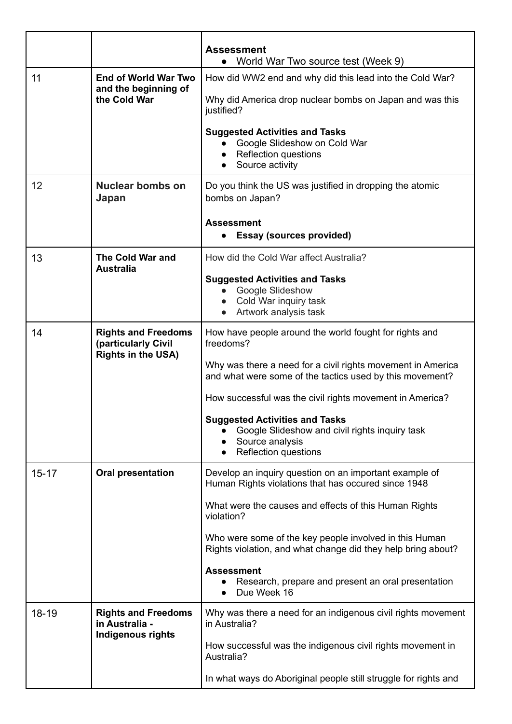|           |                                                                                | <b>Assessment</b><br>World War Two source test (Week 9)<br>$\bullet$                                                                      |
|-----------|--------------------------------------------------------------------------------|-------------------------------------------------------------------------------------------------------------------------------------------|
| 11        | <b>End of World War Two</b><br>and the beginning of<br>the Cold War            | How did WW2 end and why did this lead into the Cold War?                                                                                  |
|           |                                                                                | Why did America drop nuclear bombs on Japan and was this<br>justified?                                                                    |
|           |                                                                                | <b>Suggested Activities and Tasks</b><br>Google Slideshow on Cold War<br><b>Reflection questions</b><br>Source activity                   |
| 12        | <b>Nuclear bombs on</b><br>Japan                                               | Do you think the US was justified in dropping the atomic<br>bombs on Japan?                                                               |
|           |                                                                                | <b>Assessment</b><br><b>Essay (sources provided)</b><br>$\bullet$                                                                         |
| 13        | The Cold War and<br><b>Australia</b>                                           | How did the Cold War affect Australia?                                                                                                    |
|           |                                                                                | <b>Suggested Activities and Tasks</b>                                                                                                     |
|           |                                                                                | Google Slideshow<br>Cold War inquiry task                                                                                                 |
|           |                                                                                | Artwork analysis task                                                                                                                     |
| 14        | <b>Rights and Freedoms</b><br>(particularly Civil<br><b>Rights in the USA)</b> | How have people around the world fought for rights and<br>freedoms?                                                                       |
|           |                                                                                | Why was there a need for a civil rights movement in America<br>and what were some of the tactics used by this movement?                   |
|           |                                                                                | How successful was the civil rights movement in America?                                                                                  |
|           |                                                                                | <b>Suggested Activities and Tasks</b><br>Google Slideshow and civil rights inquiry task<br>Source analysis<br><b>Reflection questions</b> |
| $15 - 17$ | <b>Oral presentation</b>                                                       | Develop an inquiry question on an important example of<br>Human Rights violations that has occured since 1948                             |
|           |                                                                                | What were the causes and effects of this Human Rights<br>violation?                                                                       |
|           |                                                                                | Who were some of the key people involved in this Human<br>Rights violation, and what change did they help bring about?                    |
|           |                                                                                | <b>Assessment</b><br>Research, prepare and present an oral presentation<br>Due Week 16<br>$\bullet$                                       |
| 18-19     | <b>Rights and Freedoms</b><br>in Australia -<br><b>Indigenous rights</b>       | Why was there a need for an indigenous civil rights movement<br>in Australia?                                                             |
|           |                                                                                | How successful was the indigenous civil rights movement in<br>Australia?                                                                  |
|           |                                                                                | In what ways do Aboriginal people still struggle for rights and                                                                           |